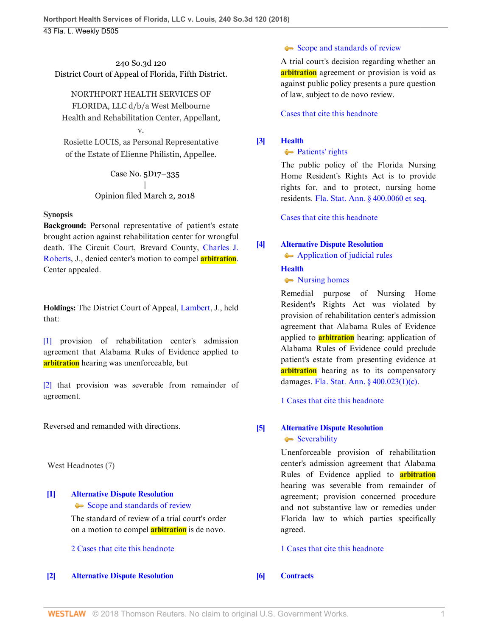## 240 So.3d 120 District Court of Appeal of Florida, Fifth District.

NORTHPORT HEALTH SERVICES OF FLORIDA, LLC d/b/a West Melbourne Health and Rehabilitation Center, Appellant,

Rosiette LOUIS, as Personal Representative of the Estate of Elienne Philistin, Appellee.

v.

Case No. 5D17–335 | Opinion filed March 2, 2018

## **Synopsis**

**Background:** Personal representative of patient's estate brought action against rehabilitation center for wrongful death. The Circuit Court, Brevard County, [Charles J.](http://www.westlaw.com/Link/Document/FullText?findType=h&pubNum=176284&cite=0281851601&originatingDoc=Ic06849001e3511e8a5e6889af90df30f&refType=RQ&originationContext=document&vr=3.0&rs=cblt1.0&transitionType=DocumentItem&contextData=(sc.Search)) [Roberts](http://www.westlaw.com/Link/Document/FullText?findType=h&pubNum=176284&cite=0281851601&originatingDoc=Ic06849001e3511e8a5e6889af90df30f&refType=RQ&originationContext=document&vr=3.0&rs=cblt1.0&transitionType=DocumentItem&contextData=(sc.Search)), J., denied center's motion to compel **arbitration**. Center appealed.

**Holdings:** The District Court of Appeal, [Lambert,](http://www.westlaw.com/Link/Document/FullText?findType=h&pubNum=176284&cite=0279934901&originatingDoc=Ic06849001e3511e8a5e6889af90df30f&refType=RQ&originationContext=document&vr=3.0&rs=cblt1.0&transitionType=DocumentItem&contextData=(sc.Search)) J., held that:

[\[1\]](#page-0-0) provision of rehabilitation center's admission agreement that Alabama Rules of Evidence applied to **arbitration** hearing was unenforceable, but

[\[2\]](#page-0-1) that provision was severable from remainder of agreement.

Reversed and remanded with directions.

West Headnotes (7)

# <span id="page-0-2"></span>**[\[1\]](#page-1-0) [Alternative Dispute Resolution](http://www.westlaw.com/Browse/Home/KeyNumber/25T/View.html?docGuid=Ic06849001e3511e8a5e6889af90df30f&originationContext=document&vr=3.0&rs=cblt1.0&transitionType=DocumentItem&contextData=(sc.Search))**

[Scope and standards of review](http://www.westlaw.com/Browse/Home/KeyNumber/25Tk213(5)/View.html?docGuid=Ic06849001e3511e8a5e6889af90df30f&originationContext=document&vr=3.0&rs=cblt1.0&transitionType=DocumentItem&contextData=(sc.Search))

The standard of review of a trial court's order on a motion to compel **arbitration** is de novo.

[2 Cases that cite this headnote](http://www.westlaw.com/Link/RelatedInformation/DocHeadnoteLink?docGuid=Ic06849001e3511e8a5e6889af90df30f&headnoteId=204391917000120180713121307&originationContext=document&vr=3.0&rs=cblt1.0&transitionType=CitingReferences&contextData=(sc.Search))

<span id="page-0-3"></span>**[\[2\]](#page-1-1) [Alternative Dispute Resolution](http://www.westlaw.com/Browse/Home/KeyNumber/25T/View.html?docGuid=Ic06849001e3511e8a5e6889af90df30f&originationContext=document&vr=3.0&rs=cblt1.0&transitionType=DocumentItem&contextData=(sc.Search))**

## [Scope and standards of review](http://www.westlaw.com/Browse/Home/KeyNumber/25Tk213(5)/View.html?docGuid=Ic06849001e3511e8a5e6889af90df30f&originationContext=document&vr=3.0&rs=cblt1.0&transitionType=DocumentItem&contextData=(sc.Search))

A trial court's decision regarding whether an **arbitration** agreement or provision is void as against public policy presents a pure question of law, subject to de novo review.

[Cases that cite this headnote](http://www.westlaw.com/Link/RelatedInformation/DocHeadnoteLink?docGuid=Ic06849001e3511e8a5e6889af90df30f&headnoteId=204391917000220180713121307&originationContext=document&vr=3.0&rs=cblt1.0&transitionType=CitingReferences&contextData=(sc.Search))

## <span id="page-0-4"></span>**[\[3\]](#page-2-0) [Health](http://www.westlaw.com/Browse/Home/KeyNumber/198H/View.html?docGuid=Ic06849001e3511e8a5e6889af90df30f&originationContext=document&vr=3.0&rs=cblt1.0&transitionType=DocumentItem&contextData=(sc.Search))**

## • [Patients' rights](http://www.westlaw.com/Browse/Home/KeyNumber/198Hk582/View.html?docGuid=Ic06849001e3511e8a5e6889af90df30f&originationContext=document&vr=3.0&rs=cblt1.0&transitionType=DocumentItem&contextData=(sc.Search))

The public policy of the Florida Nursing Home Resident's Rights Act is to provide rights for, and to protect, nursing home residents. [Fla. Stat. Ann. § 400.0060 et seq.](http://www.westlaw.com/Link/Document/FullText?findType=L&pubNum=1000006&cite=FLSTS400.0060&originatingDoc=Ic06849001e3511e8a5e6889af90df30f&refType=LQ&originationContext=document&vr=3.0&rs=cblt1.0&transitionType=DocumentItem&contextData=(sc.Search))

[Cases that cite this headnote](http://www.westlaw.com/Link/RelatedInformation/DocHeadnoteLink?docGuid=Ic06849001e3511e8a5e6889af90df30f&headnoteId=204391917000320180713121307&originationContext=document&vr=3.0&rs=cblt1.0&transitionType=CitingReferences&contextData=(sc.Search))

## <span id="page-0-0"></span>**[\[4\]](#page-2-1) [Alternative Dispute Resolution](http://www.westlaw.com/Browse/Home/KeyNumber/25T/View.html?docGuid=Ic06849001e3511e8a5e6889af90df30f&originationContext=document&vr=3.0&rs=cblt1.0&transitionType=DocumentItem&contextData=(sc.Search))**

[Application of judicial rules](http://www.westlaw.com/Browse/Home/KeyNumber/25Tk266/View.html?docGuid=Ic06849001e3511e8a5e6889af90df30f&originationContext=document&vr=3.0&rs=cblt1.0&transitionType=DocumentItem&contextData=(sc.Search))

## **[Health](http://www.westlaw.com/Browse/Home/KeyNumber/198H/View.html?docGuid=Ic06849001e3511e8a5e6889af90df30f&originationContext=document&vr=3.0&rs=cblt1.0&transitionType=DocumentItem&contextData=(sc.Search))**

• [Nursing homes](http://www.westlaw.com/Browse/Home/KeyNumber/198Hk662/View.html?docGuid=Ic06849001e3511e8a5e6889af90df30f&originationContext=document&vr=3.0&rs=cblt1.0&transitionType=DocumentItem&contextData=(sc.Search))

Remedial purpose of Nursing Home Resident's Rights Act was violated by provision of rehabilitation center's admission agreement that Alabama Rules of Evidence applied to **arbitration** hearing; application of Alabama Rules of Evidence could preclude patient's estate from presenting evidence at **arbitration** hearing as to its compensatory damages. [Fla. Stat. Ann. § 400.023\(1\)\(c\)](http://www.westlaw.com/Link/Document/FullText?findType=L&pubNum=1000006&cite=FLSTS400.023&originatingDoc=Ic06849001e3511e8a5e6889af90df30f&refType=SP&originationContext=document&vr=3.0&rs=cblt1.0&transitionType=DocumentItem&contextData=(sc.Search)#co_pp_626f000023d46).

[1 Cases that cite this headnote](http://www.westlaw.com/Link/RelatedInformation/DocHeadnoteLink?docGuid=Ic06849001e3511e8a5e6889af90df30f&headnoteId=204391917000620180713121307&originationContext=document&vr=3.0&rs=cblt1.0&transitionType=CitingReferences&contextData=(sc.Search))

## <span id="page-0-1"></span>**[\[5\]](#page-2-2) [Alternative Dispute Resolution](http://www.westlaw.com/Browse/Home/KeyNumber/25T/View.html?docGuid=Ic06849001e3511e8a5e6889af90df30f&originationContext=document&vr=3.0&rs=cblt1.0&transitionType=DocumentItem&contextData=(sc.Search))** [Severability](http://www.westlaw.com/Browse/Home/KeyNumber/25Tk140/View.html?docGuid=Ic06849001e3511e8a5e6889af90df30f&originationContext=document&vr=3.0&rs=cblt1.0&transitionType=DocumentItem&contextData=(sc.Search))

Unenforceable provision of rehabilitation center's admission agreement that Alabama Rules of Evidence applied to **arbitration** hearing was severable from remainder of agreement; provision concerned procedure and not substantive law or remedies under Florida law to which parties specifically agreed.

[1 Cases that cite this headnote](http://www.westlaw.com/Link/RelatedInformation/DocHeadnoteLink?docGuid=Ic06849001e3511e8a5e6889af90df30f&headnoteId=204391917000720180713121307&originationContext=document&vr=3.0&rs=cblt1.0&transitionType=CitingReferences&contextData=(sc.Search))

<span id="page-0-5"></span>**[\[6\]](#page-2-3) [Contracts](http://www.westlaw.com/Browse/Home/KeyNumber/95/View.html?docGuid=Ic06849001e3511e8a5e6889af90df30f&originationContext=document&vr=3.0&rs=cblt1.0&transitionType=DocumentItem&contextData=(sc.Search))**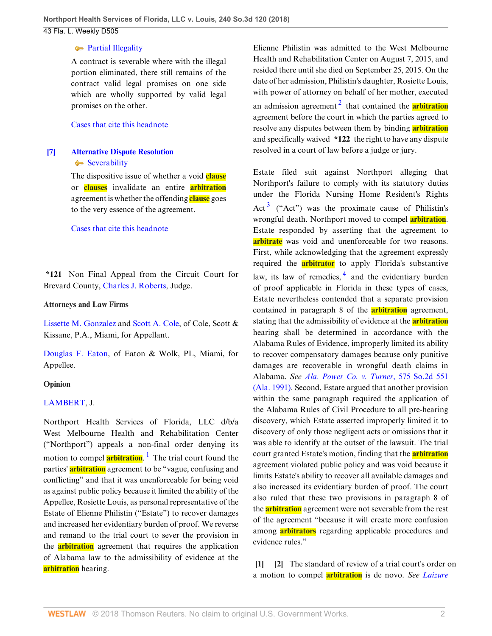#### **[Partial Illegality](http://www.westlaw.com/Browse/Home/KeyNumber/95k137/View.html?docGuid=Ic06849001e3511e8a5e6889af90df30f&originationContext=document&vr=3.0&rs=cblt1.0&transitionType=DocumentItem&contextData=(sc.Search))**

A contract is severable where with the illegal portion eliminated, there still remains of the contract valid legal promises on one side which are wholly supported by valid legal promises on the other.

### [Cases that cite this headnote](http://www.westlaw.com/Link/RelatedInformation/DocHeadnoteLink?docGuid=Ic06849001e3511e8a5e6889af90df30f&headnoteId=204391917000420180713121307&originationContext=document&vr=3.0&rs=cblt1.0&transitionType=CitingReferences&contextData=(sc.Search))

## <span id="page-1-2"></span>**[\[7\]](#page-2-4) [Alternative Dispute Resolution](http://www.westlaw.com/Browse/Home/KeyNumber/25T/View.html?docGuid=Ic06849001e3511e8a5e6889af90df30f&originationContext=document&vr=3.0&rs=cblt1.0&transitionType=DocumentItem&contextData=(sc.Search))** [Severability](http://www.westlaw.com/Browse/Home/KeyNumber/25Tk140/View.html?docGuid=Ic06849001e3511e8a5e6889af90df30f&originationContext=document&vr=3.0&rs=cblt1.0&transitionType=DocumentItem&contextData=(sc.Search))

The dispositive issue of whether a void **clause** or **clauses** invalidate an entire **arbitration** agreement is whether the offending **clause** goes to the very essence of the agreement.

#### [Cases that cite this headnote](http://www.westlaw.com/Link/RelatedInformation/DocHeadnoteLink?docGuid=Ic06849001e3511e8a5e6889af90df30f&headnoteId=204391917000520180713121307&originationContext=document&vr=3.0&rs=cblt1.0&transitionType=CitingReferences&contextData=(sc.Search))

**\*121** Non–Final Appeal from the Circuit Court for Brevard County, [Charles J. Roberts,](http://www.westlaw.com/Link/Document/FullText?findType=h&pubNum=176284&cite=0281851601&originatingDoc=Ic06849001e3511e8a5e6889af90df30f&refType=RQ&originationContext=document&vr=3.0&rs=cblt1.0&transitionType=DocumentItem&contextData=(sc.Search)) Judge.

#### **Attorneys and Law Firms**

[Lissette M. Gonzalez](http://www.westlaw.com/Link/Document/FullText?findType=h&pubNum=176284&cite=0494572099&originatingDoc=Ic06849001e3511e8a5e6889af90df30f&refType=RQ&originationContext=document&vr=3.0&rs=cblt1.0&transitionType=DocumentItem&contextData=(sc.Search)) and [Scott A. Cole,](http://www.westlaw.com/Link/Document/FullText?findType=h&pubNum=176284&cite=0197838601&originatingDoc=Ic06849001e3511e8a5e6889af90df30f&refType=RQ&originationContext=document&vr=3.0&rs=cblt1.0&transitionType=DocumentItem&contextData=(sc.Search)) of Cole, Scott & Kissane, P.A., Miami, for Appellant.

[Douglas F. Eaton](http://www.westlaw.com/Link/Document/FullText?findType=h&pubNum=176284&cite=0338095201&originatingDoc=Ic06849001e3511e8a5e6889af90df30f&refType=RQ&originationContext=document&vr=3.0&rs=cblt1.0&transitionType=DocumentItem&contextData=(sc.Search)), of Eaton & Wolk, PL, Miami, for Appellee.

## **Opinion**

## [LAMBERT](http://www.westlaw.com/Link/Document/FullText?findType=h&pubNum=176284&cite=0279934901&originatingDoc=Ic06849001e3511e8a5e6889af90df30f&refType=RQ&originationContext=document&vr=3.0&rs=cblt1.0&transitionType=DocumentItem&contextData=(sc.Search)), J.

<span id="page-1-3"></span>Northport Health Services of Florida, LLC d/b/a West Melbourne Health and Rehabilitation Center ("Northport") appeals a non-final order denying its motion to compel **arbitration**. [1](#page-2-5) The trial court found the parties' **arbitration** agreement to be "vague, confusing and conflicting" and that it was unenforceable for being void as against public policy because it limited the ability of the Appellee, Rosiette Louis, as personal representative of the Estate of Elienne Philistin ("Estate") to recover damages and increased her evidentiary burden of proof. We reverse and remand to the trial court to sever the provision in the **arbitration** agreement that requires the application of Alabama law to the admissibility of evidence at the **arbitration** hearing.

<span id="page-1-4"></span>Elienne Philistin was admitted to the West Melbourne Health and Rehabilitation Center on August 7, 2015, and resided there until she died on September 25, 2015. On the date of her admission, Philistin's daughter, Rosiette Louis, with power of attorney on behalf of her mother, executed an admission agreement<sup>[2](#page-2-6)</sup> that contained the **arbitration** agreement before the court in which the parties agreed to resolve any disputes between them by binding **arbitration** and specifically waived **\*122** the right to have any dispute resolved in a court of law before a judge or jury.

<span id="page-1-6"></span><span id="page-1-5"></span>Estate filed suit against Northport alleging that Northport's failure to comply with its statutory duties under the Florida Nursing Home Resident's Rights Act<sup>[3](#page-3-0)</sup> ("Act") was the proximate cause of Philistin's wrongful death. Northport moved to compel **arbitration**. Estate responded by asserting that the agreement to **arbitrate** was void and unenforceable for two reasons. First, while acknowledging that the agreement expressly required the **arbitrator** to apply Florida's substantive law, its law of remedies,  $\frac{4}{3}$  $\frac{4}{3}$  $\frac{4}{3}$  and the evidentiary burden of proof applicable in Florida in these types of cases, Estate nevertheless contended that a separate provision contained in paragraph 8 of the **arbitration** agreement, stating that the admissibility of evidence at the **arbitration** hearing shall be determined in accordance with the Alabama Rules of Evidence, improperly limited its ability to recover compensatory damages because only punitive damages are recoverable in wrongful death claims in Alabama. *See [Ala. Power Co. v. Turner](http://www.westlaw.com/Link/Document/FullText?findType=Y&serNum=1991048000&pubNum=0000735&originatingDoc=Ic06849001e3511e8a5e6889af90df30f&refType=RP&originationContext=document&vr=3.0&rs=cblt1.0&transitionType=DocumentItem&contextData=(sc.Search))*, 575 So.2d 551 [\(Ala. 1991\)](http://www.westlaw.com/Link/Document/FullText?findType=Y&serNum=1991048000&pubNum=0000735&originatingDoc=Ic06849001e3511e8a5e6889af90df30f&refType=RP&originationContext=document&vr=3.0&rs=cblt1.0&transitionType=DocumentItem&contextData=(sc.Search)). Second, Estate argued that another provision within the same paragraph required the application of the Alabama Rules of Civil Procedure to all pre-hearing discovery, which Estate asserted improperly limited it to discovery of only those negligent acts or omissions that it was able to identify at the outset of the lawsuit. The trial court granted Estate's motion, finding that the **arbitration** agreement violated public policy and was void because it limits Estate's ability to recover all available damages and also increased its evidentiary burden of proof. The court also ruled that these two provisions in paragraph 8 of the **arbitration** agreement were not severable from the rest of the agreement "because it will create more confusion among **arbitrators** regarding applicable procedures and evidence rules."

<span id="page-1-1"></span><span id="page-1-0"></span>**[\[1](#page-0-2)] [\[2](#page-0-3)]** The standard of review of a trial court's order on a motion to compel **arbitration** is de novo. *See [Laizure](http://www.westlaw.com/Link/Document/FullText?findType=Y&serNum=2023207816&pubNum=0003926&originatingDoc=Ic06849001e3511e8a5e6889af90df30f&refType=RP&fi=co_pp_sp_3926_1256&originationContext=document&vr=3.0&rs=cblt1.0&transitionType=DocumentItem&contextData=(sc.Search)#co_pp_sp_3926_1256)*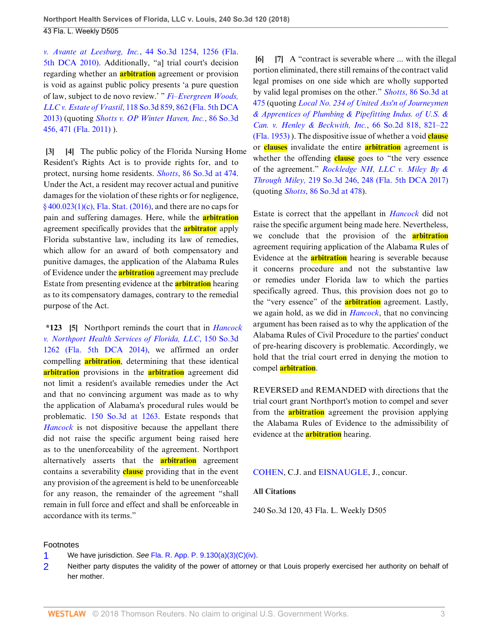*v. Avante at Leesburg, Inc.*[, 44 So.3d 1254, 1256 \(Fla.](http://www.westlaw.com/Link/Document/FullText?findType=Y&serNum=2023207816&pubNum=0003926&originatingDoc=Ic06849001e3511e8a5e6889af90df30f&refType=RP&fi=co_pp_sp_3926_1256&originationContext=document&vr=3.0&rs=cblt1.0&transitionType=DocumentItem&contextData=(sc.Search)#co_pp_sp_3926_1256) [5th DCA 2010\).](http://www.westlaw.com/Link/Document/FullText?findType=Y&serNum=2023207816&pubNum=0003926&originatingDoc=Ic06849001e3511e8a5e6889af90df30f&refType=RP&fi=co_pp_sp_3926_1256&originationContext=document&vr=3.0&rs=cblt1.0&transitionType=DocumentItem&contextData=(sc.Search)#co_pp_sp_3926_1256) Additionally, "a] trial court's decision regarding whether an **arbitration** agreement or provision is void as against public policy presents 'a pure question of law, subject to de novo review.' " *[Fi–Evergreen Woods,](http://www.westlaw.com/Link/Document/FullText?findType=Y&serNum=2030932940&pubNum=0003926&originatingDoc=Ic06849001e3511e8a5e6889af90df30f&refType=RP&fi=co_pp_sp_3926_862&originationContext=document&vr=3.0&rs=cblt1.0&transitionType=DocumentItem&contextData=(sc.Search)#co_pp_sp_3926_862) LLC v. Estate of Vrastil*[, 118 So.3d 859, 862 \(Fla. 5th DCA](http://www.westlaw.com/Link/Document/FullText?findType=Y&serNum=2030932940&pubNum=0003926&originatingDoc=Ic06849001e3511e8a5e6889af90df30f&refType=RP&fi=co_pp_sp_3926_862&originationContext=document&vr=3.0&rs=cblt1.0&transitionType=DocumentItem&contextData=(sc.Search)#co_pp_sp_3926_862) [2013\)](http://www.westlaw.com/Link/Document/FullText?findType=Y&serNum=2030932940&pubNum=0003926&originatingDoc=Ic06849001e3511e8a5e6889af90df30f&refType=RP&fi=co_pp_sp_3926_862&originationContext=document&vr=3.0&rs=cblt1.0&transitionType=DocumentItem&contextData=(sc.Search)#co_pp_sp_3926_862) (quoting *[Shotts v. OP Winter Haven, Inc.](http://www.westlaw.com/Link/Document/FullText?findType=Y&serNum=2026556139&pubNum=0003926&originatingDoc=Ic06849001e3511e8a5e6889af90df30f&refType=RP&fi=co_pp_sp_3926_471&originationContext=document&vr=3.0&rs=cblt1.0&transitionType=DocumentItem&contextData=(sc.Search)#co_pp_sp_3926_471)*, 86 So.3d [456, 471 \(Fla. 2011\)](http://www.westlaw.com/Link/Document/FullText?findType=Y&serNum=2026556139&pubNum=0003926&originatingDoc=Ic06849001e3511e8a5e6889af90df30f&refType=RP&fi=co_pp_sp_3926_471&originationContext=document&vr=3.0&rs=cblt1.0&transitionType=DocumentItem&contextData=(sc.Search)#co_pp_sp_3926_471) ).

<span id="page-2-1"></span><span id="page-2-0"></span>**[\[3](#page-0-4)] [\[4](#page-0-0)]** The public policy of the Florida Nursing Home Resident's Rights Act is to provide rights for, and to protect, nursing home residents. *Shotts*[, 86 So.3d at 474](http://www.westlaw.com/Link/Document/FullText?findType=Y&serNum=2026556139&pubNum=0003926&originatingDoc=Ic06849001e3511e8a5e6889af90df30f&refType=RP&fi=co_pp_sp_3926_474&originationContext=document&vr=3.0&rs=cblt1.0&transitionType=DocumentItem&contextData=(sc.Search)#co_pp_sp_3926_474). Under the Act, a resident may recover actual and punitive damages for the violation of these rights or for negligence, [§ 400.023\(1\)\(c\), Fla. Stat. \(2016\)](http://www.westlaw.com/Link/Document/FullText?findType=L&pubNum=1000006&cite=FLSTS400.023&originatingDoc=Ic06849001e3511e8a5e6889af90df30f&refType=SP&originationContext=document&vr=3.0&rs=cblt1.0&transitionType=DocumentItem&contextData=(sc.Search)#co_pp_626f000023d46), and there are no caps for pain and suffering damages. Here, while the **arbitration** agreement specifically provides that the **arbitrator** apply Florida substantive law, including its law of remedies, which allow for an award of both compensatory and punitive damages, the application of the Alabama Rules of Evidence under the **arbitration** agreement may preclude Estate from presenting evidence at the **arbitration** hearing as to its compensatory damages, contrary to the remedial purpose of the Act.

<span id="page-2-2"></span>**\*123 [\[5](#page-0-1)]** Northport reminds the court that in *[Hancock](http://www.westlaw.com/Link/Document/FullText?findType=Y&serNum=2034831782&pubNum=0003926&originatingDoc=Ic06849001e3511e8a5e6889af90df30f&refType=RP&originationContext=document&vr=3.0&rs=cblt1.0&transitionType=DocumentItem&contextData=(sc.Search)) [v. Northport Health Services of Florida, LLC](http://www.westlaw.com/Link/Document/FullText?findType=Y&serNum=2034831782&pubNum=0003926&originatingDoc=Ic06849001e3511e8a5e6889af90df30f&refType=RP&originationContext=document&vr=3.0&rs=cblt1.0&transitionType=DocumentItem&contextData=(sc.Search))*, 150 So.3d [1262 \(Fla. 5th DCA 2014\),](http://www.westlaw.com/Link/Document/FullText?findType=Y&serNum=2034831782&pubNum=0003926&originatingDoc=Ic06849001e3511e8a5e6889af90df30f&refType=RP&originationContext=document&vr=3.0&rs=cblt1.0&transitionType=DocumentItem&contextData=(sc.Search)) we affirmed an order compelling **arbitration**, determining that these identical **arbitration** provisions in the **arbitration** agreement did not limit a resident's available remedies under the Act and that no convincing argument was made as to why the application of Alabama's procedural rules would be problematic. [150 So.3d at 1263.](http://www.westlaw.com/Link/Document/FullText?findType=Y&serNum=2034831782&pubNum=0003926&originatingDoc=Ic06849001e3511e8a5e6889af90df30f&refType=RP&fi=co_pp_sp_3926_1263&originationContext=document&vr=3.0&rs=cblt1.0&transitionType=DocumentItem&contextData=(sc.Search)#co_pp_sp_3926_1263) Estate responds that *[Hancock](http://www.westlaw.com/Link/Document/FullText?findType=Y&serNum=2034831782&pubNum=0003926&originatingDoc=Ic06849001e3511e8a5e6889af90df30f&refType=RP&originationContext=document&vr=3.0&rs=cblt1.0&transitionType=DocumentItem&contextData=(sc.Search))* is not dispositive because the appellant there did not raise the specific argument being raised here as to the unenforceability of the agreement. Northport alternatively asserts that the **arbitration** agreement contains a severability **clause** providing that in the event any provision of the agreement is held to be unenforceable for any reason, the remainder of the agreement "shall remain in full force and effect and shall be enforceable in accordance with its terms."

<span id="page-2-4"></span><span id="page-2-3"></span>**[\[6](#page-0-5)] [\[7](#page-1-2)]** A "contract is severable where ... with the illegal portion eliminated, there still remains of the contract valid legal promises on one side which are wholly supported by valid legal promises on the other." *Shotts*[, 86 So.3d at](http://www.westlaw.com/Link/Document/FullText?findType=Y&serNum=2026556139&pubNum=0003926&originatingDoc=Ic06849001e3511e8a5e6889af90df30f&refType=RP&fi=co_pp_sp_3926_475&originationContext=document&vr=3.0&rs=cblt1.0&transitionType=DocumentItem&contextData=(sc.Search)#co_pp_sp_3926_475) [475](http://www.westlaw.com/Link/Document/FullText?findType=Y&serNum=2026556139&pubNum=0003926&originatingDoc=Ic06849001e3511e8a5e6889af90df30f&refType=RP&fi=co_pp_sp_3926_475&originationContext=document&vr=3.0&rs=cblt1.0&transitionType=DocumentItem&contextData=(sc.Search)#co_pp_sp_3926_475) (quoting *[Local No. 234 of United Ass'n of Journeymen](http://www.westlaw.com/Link/Document/FullText?findType=Y&serNum=1953115221&pubNum=0000735&originatingDoc=Ic06849001e3511e8a5e6889af90df30f&refType=RP&fi=co_pp_sp_735_821&originationContext=document&vr=3.0&rs=cblt1.0&transitionType=DocumentItem&contextData=(sc.Search)#co_pp_sp_735_821) [& Apprentices of Plumbing & Pipefitting Indus. of U.S. &](http://www.westlaw.com/Link/Document/FullText?findType=Y&serNum=1953115221&pubNum=0000735&originatingDoc=Ic06849001e3511e8a5e6889af90df30f&refType=RP&fi=co_pp_sp_735_821&originationContext=document&vr=3.0&rs=cblt1.0&transitionType=DocumentItem&contextData=(sc.Search)#co_pp_sp_735_821) [Can. v. Henley & Beckwith, Inc.](http://www.westlaw.com/Link/Document/FullText?findType=Y&serNum=1953115221&pubNum=0000735&originatingDoc=Ic06849001e3511e8a5e6889af90df30f&refType=RP&fi=co_pp_sp_735_821&originationContext=document&vr=3.0&rs=cblt1.0&transitionType=DocumentItem&contextData=(sc.Search)#co_pp_sp_735_821)*, 66 So.2d 818, 821–22 [\(Fla. 1953\)](http://www.westlaw.com/Link/Document/FullText?findType=Y&serNum=1953115221&pubNum=0000735&originatingDoc=Ic06849001e3511e8a5e6889af90df30f&refType=RP&fi=co_pp_sp_735_821&originationContext=document&vr=3.0&rs=cblt1.0&transitionType=DocumentItem&contextData=(sc.Search)#co_pp_sp_735_821) ). The dispositive issue of whether a void **clause** or **clauses** invalidate the entire **arbitration** agreement is whether the offending **clause** goes to "the very essence of the agreement." *[Rockledge NH, LLC v. Miley By &](http://www.westlaw.com/Link/Document/FullText?findType=Y&serNum=2041686429&pubNum=0003926&originatingDoc=Ic06849001e3511e8a5e6889af90df30f&refType=RP&fi=co_pp_sp_3926_248&originationContext=document&vr=3.0&rs=cblt1.0&transitionType=DocumentItem&contextData=(sc.Search)#co_pp_sp_3926_248) Through Miley,* [219 So.3d 246, 248 \(Fla. 5th DCA 2017\)](http://www.westlaw.com/Link/Document/FullText?findType=Y&serNum=2041686429&pubNum=0003926&originatingDoc=Ic06849001e3511e8a5e6889af90df30f&refType=RP&fi=co_pp_sp_3926_248&originationContext=document&vr=3.0&rs=cblt1.0&transitionType=DocumentItem&contextData=(sc.Search)#co_pp_sp_3926_248) (quoting *Shotts*[, 86 So.3d at 478\)](http://www.westlaw.com/Link/Document/FullText?findType=Y&serNum=2026556139&pubNum=0003926&originatingDoc=Ic06849001e3511e8a5e6889af90df30f&refType=RP&fi=co_pp_sp_3926_478&originationContext=document&vr=3.0&rs=cblt1.0&transitionType=DocumentItem&contextData=(sc.Search)#co_pp_sp_3926_478).

Estate is correct that the appellant in *[Hancock](http://www.westlaw.com/Link/Document/FullText?findType=Y&serNum=2034831782&pubNum=0003926&originatingDoc=Ic06849001e3511e8a5e6889af90df30f&refType=RP&originationContext=document&vr=3.0&rs=cblt1.0&transitionType=DocumentItem&contextData=(sc.Search))* did not raise the specific argument being made here. Nevertheless, we conclude that the provision of the **arbitration** agreement requiring application of the Alabama Rules of Evidence at the **arbitration** hearing is severable because it concerns procedure and not the substantive law or remedies under Florida law to which the parties specifically agreed. Thus, this provision does not go to the "very essence" of the **arbitration** agreement. Lastly, we again hold, as we did in *[Hancock](http://www.westlaw.com/Link/Document/FullText?findType=Y&serNum=2034831782&pubNum=0003926&originatingDoc=Ic06849001e3511e8a5e6889af90df30f&refType=RP&originationContext=document&vr=3.0&rs=cblt1.0&transitionType=DocumentItem&contextData=(sc.Search))*, that no convincing argument has been raised as to why the application of the Alabama Rules of Civil Procedure to the parties' conduct of pre-hearing discovery is problematic. Accordingly, we hold that the trial court erred in denying the motion to compel **arbitration**.

REVERSED and REMANDED with directions that the trial court grant Northport's motion to compel and sever from the **arbitration** agreement the provision applying the Alabama Rules of Evidence to the admissibility of evidence at the **arbitration** hearing.

[COHEN](http://www.westlaw.com/Link/Document/FullText?findType=h&pubNum=176284&cite=0153534101&originatingDoc=Ic06849001e3511e8a5e6889af90df30f&refType=RQ&originationContext=document&vr=3.0&rs=cblt1.0&transitionType=DocumentItem&contextData=(sc.Search)), C.J. and [EISNAUGLE](http://www.westlaw.com/Link/Document/FullText?findType=h&pubNum=176284&cite=0331508799&originatingDoc=Ic06849001e3511e8a5e6889af90df30f&refType=RQ&originationContext=document&vr=3.0&rs=cblt1.0&transitionType=DocumentItem&contextData=(sc.Search)), J., concur.

**All Citations**

240 So.3d 120, 43 Fla. L. Weekly D505

#### Footnotes

- <span id="page-2-5"></span>[1](#page-1-3) We have jurisdiction. See [Fla. R. App. P. 9.130\(a\)\(3\)\(C\)\(iv\).](http://www.westlaw.com/Link/Document/FullText?findType=L&pubNum=1005181&cite=FLSTRAPR9.130&originatingDoc=Ic06849001e3511e8a5e6889af90df30f&refType=LQ&originationContext=document&vr=3.0&rs=cblt1.0&transitionType=DocumentItem&contextData=(sc.Search))
- <span id="page-2-6"></span>[2](#page-1-4) Neither party disputes the validity of the power of attorney or that Louis properly exercised her authority on behalf of her mother.